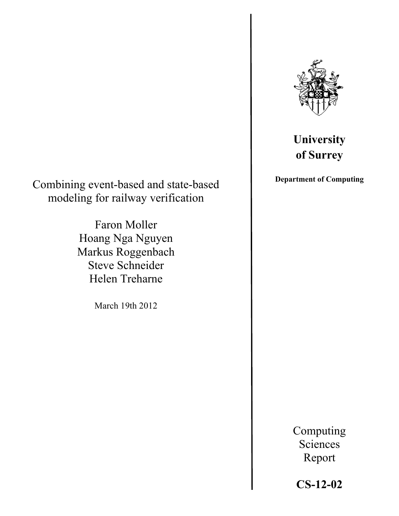

# **University of Surrey**

**Department of Computing**

Combining event-based and state-based modeling for railway verification

> Faron Moller Hoang Nga Nguyen Markus Roggenbach Steve Schneider Helen Treharne

> > March 19th 2012

Report

Computing Sciences

## **CS-12-02**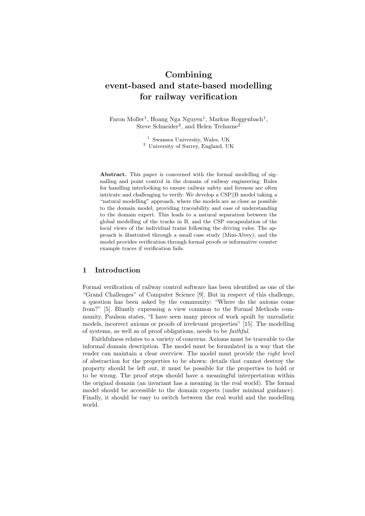## Combining event-based and state-based modelling for railway verification

Faron Moller<sup>1</sup>, Hoang Nga Nguyen<sup>1</sup>, Markus Roggenbach<sup>1</sup>, Steve Schneider<sup>2</sup>, and Helen Treharne<sup>2</sup>

> <sup>1</sup> Swansea University, Wales, UK <sup>2</sup> University of Surrey, England, UK

Abstract. This paper is concerned with the formal modelling of signalling and point control in the domain of railway engineering. Rules for handling interlocking to ensure railway safety and liveness are often intricate and challenging to verify. We develop a CSP*||*B model taking a "natural modelling" approach, where the models are as close as possible to the domain model, providing traceability and ease of understanding to the domain expert. This leads to a natural separation between the global modelling of the tracks in B, and the CSP encapsulation of the local views of the individual trains following the driving rules. The approach is illustrated through a small case study (Mini-Alvey), and the model provides verification through formal proofs or informative counter example traces if verification fails.

## 1 Introduction

Formal verification of railway control software has been identified as one of the "Grand Challenges" of Computer Science [9]. But in respect of this challenge, a question has been asked by the community: "Where do the axioms come from?" [5]. Bluntly expressing a view common to the Formal Methods community, Paulson states, "I have seen many pieces of work spoilt by unrealistic models, incorrect axioms or proofs of irrelevant properties" [15]. The modelling of systems, as well as of proof obligations, needs to be *faithful*.

Faithfulness relates to a variety of concerns. Axioms must be traceable to the informal domain description. The model must be formulated in a way that the reader can maintain a clear overview. The model must provide the *right* level of abstraction for the properties to be shown: details that cannot destroy the property should be left out, it must be possible for the properties to hold or to be wrong. The proof steps should have a meaningful interpretation within the original domain (an invariant has a meaning in the real world). The formal model should be accessible to the domain experts (under minimal guidance). Finally, it should be easy to switch between the real world and the modelling world.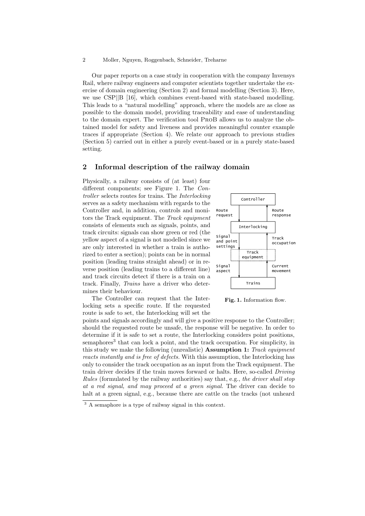Our paper reports on a case study in cooperation with the company Invensys Rail, where railway engineers and computer scientists together undertake the exercise of domain engineering (Section 2) and formal modelling (Section 3). Here, we use CSP*||*B [16], which combines event-based with state-based modelling. This leads to a "natural modelling" approach, where the models are as close as possible to the domain model, providing traceability and ease of understanding to the domain expert. The verification tool ProB allows us to analyze the obtained model for safety and liveness and provides meaningful counter example traces if appropriate (Section 4). We relate our approach to previous studies (Section 5) carried out in either a purely event-based or in a purely state-based setting.

## 2 Informal description of the railway domain

Physically, a railway consists of (at least) four different components; see Figure 1. The *Controller* selects routes for trains. The *Interlocking* serves as a safety mechanism with regards to the Controller and, in addition, controls and monitors the Track equipment. The *Track equipment* consists of elements such as signals, points, and track circuits: signals can show green or red (the yellow aspect of a signal is not modelled since we are only interested in whether a train is authorized to enter a section); points can be in normal position (leading trains straight ahead) or in reverse position (leading trains to a different line) and track circuits detect if there is a train on a track. Finally, *Trains* have a driver who determines their behaviour.



The Controller can request that the Interlocking sets a specific route. If the requested route is safe to set, the Interlocking will set the

Fig. 1. Information flow.

points and signals accordingly and will give a positive response to the Controller; should the requested route be unsafe, the response will be negative. In order to determine if it is safe to set a route, the Interlocking considers point positions, semaphores<sup>3</sup> that can lock a point, and the track occupation. For simplicity, in this study we make the following (unrealistic) Assumption 1: *Track equipment reacts instantly and is free of defects.* With this assumption, the Interlocking has only to consider the track occupation as an input from the Track equipment. The train driver decides if the train moves forward or halts. Here, so-called *Driving Rules* (formulated by the railway authorities) say that, e.g., *the driver shall stop at a red signal, and may proceed at a green signal.* The driver can decide to halt at a green signal, e.g., because there are cattle on the tracks (not unheard

<sup>3</sup> A semaphore is a type of railway signal in this context.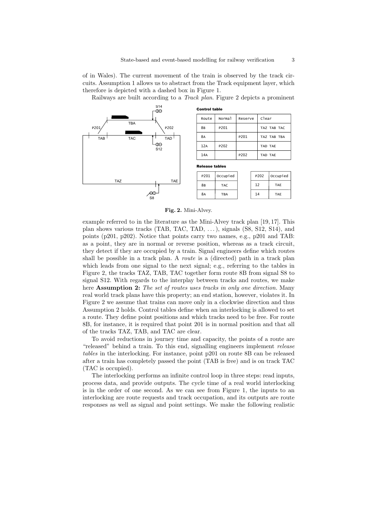of in Wales). The current movement of the train is observed by the track circuits. Assumption 1 allows us to abstract from the Track equipment layer, which therefore is depicted with a dashed box in Figure 1.

Railways are built according to a *Track plan*. Figure 2 depicts a prominent



Fig. 2. Mini-Alvey.

example referred to in the literature as the Mini-Alvey track plan [19, 17]. This plan shows various tracks (TAB, TAC, TAD, . . . ), signals (S8, S12, S14), and points (p201, p202). Notice that points carry two names, e.g., p201 and TAB: as a point, they are in normal or reverse position, whereas as a track circuit, they detect if they are occupied by a train. Signal engineers define which routes shall be possible in a track plan. A *route* is a (directed) path in a track plan which leads from one signal to the next signal; e.g., referring to the tables in Figure 2, the tracks TAZ, TAB, TAC together form route 8B from signal S8 to signal S12. With regards to the interplay between tracks and routes, we make here Assumption 2: *The set of routes uses tracks in only one direction.* Many real world track plans have this property; an end station, however, violates it. In Figure 2 we assume that trains can move only in a clockwise direction and thus Assumption 2 holds. Control tables define when an interlocking is allowed to set a route. They define point positions and which tracks need to be free. For route 8B, for instance, it is required that point 201 is in normal position and that all of the tracks TAZ, TAB, and TAC are clear.

To avoid reductions in journey time and capacity, the points of a route are "released" behind a train. To this end, signalling engineers implement *release tables* in the interlocking. For instance, point p201 on route 8B can be released after a train has completely passed the point (TAB is free) and is on track TAC (TAC is occupied).

The interlocking performs an infinite control loop in three steps: read inputs, process data, and provide outputs. The cycle time of a real world interlocking is in the order of one second. As we can see from Figure 1, the inputs to an interlocking are route requests and track occupation, and its outputs are route responses as well as signal and point settings. We make the following realistic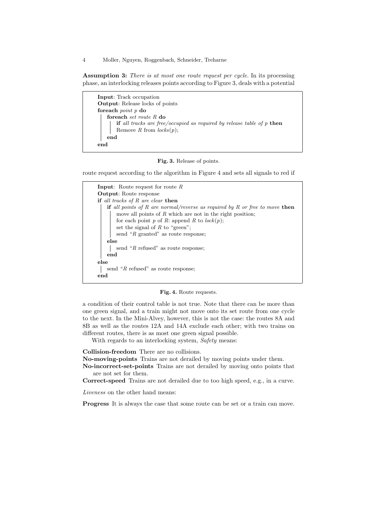Assumption 3: *There is at most one route request per cycle.* In its processing phase, an interlocking releases points according to Figure 3, deals with a potential

Input: Track occupation Output: Release locks of points foreach *point p* do foreach *set route R* do if *all tracks are free/occupied as required by release table of p* then Remove *R* from *locks*(*p*); end end



route request according to the algorithm in Figure 4 and sets all signals to red if



Fig. 4. Route requests.

a condition of their control table is not true. Note that there can be more than one green signal, and a train might not move onto its set route from one cycle to the next. In the Mini-Alvey, however, this is not the case: the routes 8A and 8B as well as the routes 12A and 14A exclude each other; with two trains on different routes, there is as most one green signal possible.

With regards to an interlocking system, *Safety* means:

Collision-freedom There are no collisions.

No-moving-points Trains are not derailed by moving points under them.

No-incorrect-set-points Trains are not derailed by moving onto points that are not set for them.

Correct-speed Trains are not derailed due to too high speed, e.g., in a curve.

*Liveness* on the other hand means:

Progress It is always the case that some route can be set or a train can move.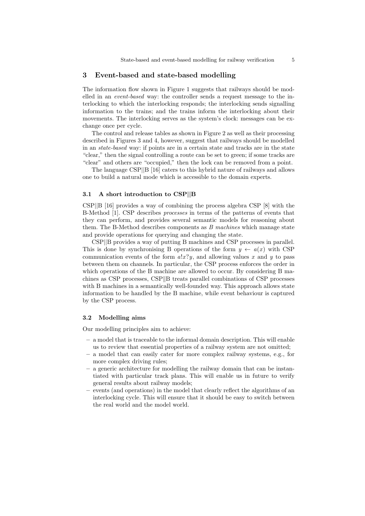#### 3 Event-based and state-based modelling

The information flow shown in Figure 1 suggests that railways should be modelled in an *event-based* way: the controller sends a request message to the interlocking to which the interlocking responds; the interlocking sends signalling information to the trains; and the trains inform the interlocking about their movements. The interlocking serves as the system's clock: messages can be exchange once per cycle.

The control and release tables as shown in Figure 2 as well as their processing described in Figures 3 and 4, however, suggest that railways should be modelled in an *state-based* way: if points are in a certain state and tracks are in the state "clear," then the signal controlling a route can be set to green; if some tracks are "clear" and others are "occupied," then the lock can be removed from a point.

The language CSP*||*B [16] caters to this hybrid nature of railways and allows one to build a natural mode which is accessible to the domain experts.

#### 3.1 A short introduction to CSP*||*B

CSP*||*B [16] provides a way of combining the process algebra CSP [8] with the B-Method [1]. CSP describes *processes* in terms of the patterns of events that they can perform, and provides several semantic models for reasoning about them. The B-Method describes components as *B machines* which manage state and provide operations for querying and changing the state.

CSP*||*B provides a way of putting B machines and CSP processes in parallel. This is done by synchronising B operations of the form  $y \leftarrow a(x)$  with CSP communication events of the form  $a!x?y$ , and allowing values x and y to pass between them on channels. In particular, the CSP process enforces the order in which operations of the B machine are allowed to occur. By considering B machines as CSP processes, CSP B treats parallel combinations of CSP processes with B machines in a semantically well-founded way. This approach allows state information to be handled by the B machine, while event behaviour is captured by the CSP process.

#### 3.2 Modelling aims

Our modelling principles aim to achieve:

- a model that is traceable to the informal domain description. This will enable us to review that essential properties of a railway system are not omitted;
- a model that can easily cater for more complex railway systems, e.g., for more complex driving rules;
- a generic architecture for modelling the railway domain that can be instantiated with particular track plans. This will enable us in future to verify general results about railway models;
- events (and operations) in the model that clearly reflect the algorithms of an interlocking cycle. This will ensure that it should be easy to switch between the real world and the model world.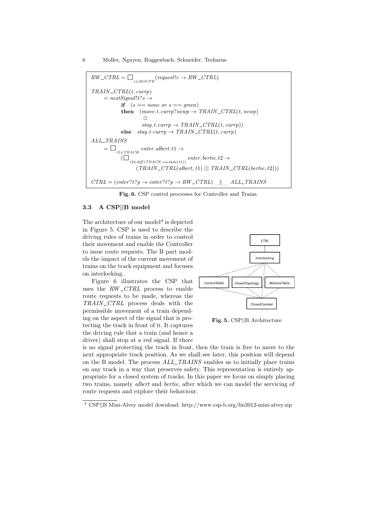$RW\_CTRL = \Box$ <sub>reROUTE</sub> (*request*! $r \rightarrow RW\_CTRL$ ) *TRAIN CTRL*(*t, currp*)  $= nextSignal!t$ ?*s*  $\rightarrow$ if  $(s == none or s == green)$  ${\bf then}$   $(move. t. currp?newp \rightarrow TRAIN\_CTRL(t, newp))$  $\Box$  $stay.t. \textit{currp} \rightarrow \textit{TRAN\_CTRL}(t, \textit{currp})$  $else$   $stay$ *t.currp*  $\rightarrow$   $TRAIN\_CTRL(t, currp)$ *ALL TRAINS*  $=\Box$ <br> $_{t1\in TRACK}$  enter.albert.t1  $\rightarrow$  $\overline{\big(\Box_{t2 \in \text{diff}(\text{TRACK}, \text{exclude}(t1))} \text{ enter}. \text{bertite}. t2 \rightarrow}$ (*TRAIN CTRL*(*albert, t*1) *||| TRAIN CTRL*(*bertie, t*2)))  $CTRL = (enter? t? p \rightarrow enter? t? p \rightarrow RW\_CTRL)$  ... *ALL\_TRAINS* 

Fig. 6. CSP control processes for Controller and Trains.

#### 3.3 A CSP*||*B model

The architecture of our model<sup>4</sup> is depicted in Figure 5. CSP is used to describe the driving rules of trains in order to control their movement and enable the Controller to issue route requests. The B part models the impact of the current movement of trains on the track equipment and focuses on interlocking.

Figure 6 illustrates the CSP that uses the *RW CTRL* process to enable route requests to be made, whereas the *TRAIN CTRL* process deals with the permissible movement of a train depending on the aspect of the signal that is protecting the track in front of it. It captures the driving rule that a train (and hence a driver) shall stop at a red signal. If there



Fig. 5. CSP*||*B Architecture

is no signal protecting the track in front, then the train is free to move to the next appropriate track position. As we shall see later, this position will depend on the B model. The process *ALL TRAINS* enables us to initially place trains on any track in a way that preserves safety. This representation is entirely appropriate for a closed system of tracks. In this paper we focus on simply placing two trains, namely *albert* and *bertie*, after which we can model the servicing of route requests and explore their behaviour.

<sup>4</sup> CSP*||*B Mini-Alvey model download: http://www.csp-b.org/fm2012-mini-alvey.zip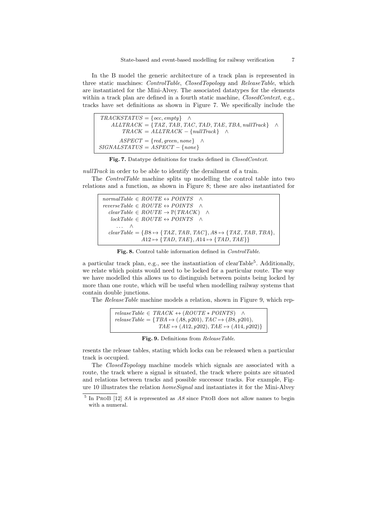In the B model the generic architecture of a track plan is represented in three static machines: *ControlTable*, *ClosedTopology* and *ReleaseTable*, which are instantiated for the Mini-Alvey. The associated datatypes for the elements within a track plan are defined in a fourth static machine, *ClosedContext*, e.g., tracks have set definitions as shown in Figure 7. We specifically include the

| $TRACKSTATUS = \{ occ, empty \}$ $\wedge$                         |  |
|-------------------------------------------------------------------|--|
| $ALLTRACK = \{TAZ, TAB, TAC, TAD, TAE, TBA, nullTrack\}$ $\wedge$ |  |
| $TRACK = ALLTRACK - \{nullTrack\}$ $\wedge$                       |  |
| $ASPECT = \{ red, green, none\}$ $\wedge$                         |  |
| $SIGNALSTATUS = ASPECT - \{none\}$                                |  |

Fig. 7. Datatype definitions for tracks defined in *ClosedContext*.

*nullTrack* in order to be able to identify the derailment of a train.

The *ControlTable* machine splits up modelling the control table into two relations and a function, as shown in Figure 8; these are also instantiated for

```
normalTable \in ROUTE \leftrightarrow POINTS \quad \landreverseTable \in ROUTE \leftrightarrow POINTSclearTable \in ROUTE \rightarrow \mathbb{P}(TRACK) ^
    lockTable \in ROUTE \leftrightarrow POINTS \quad \wedgeclearTable = {BB \rightarrow {TAZ, TAB, TAC}, AS \rightarrow {TAZ, TAB, TBA},A12 \rightarrow \{TAD, TAE\}, A14 \rightarrow \{TAD, TAE\}\}
```
Fig. 8. Control table information defined in *ControlTable*.

a particular track plan, e.g., see the instantiation of clearTable<sup>5</sup>. Additionally, we relate which points would need to be locked for a particular route. The way we have modelled this allows us to distinguish between points being locked by more than one route, which will be useful when modelling railway systems that contain double junctions.

The *ReleaseTable* machine models a relation, shown in Figure 9, which rep-

$$
releaseTable \in TRACK \leftrightarrow (ROUTE * POINTS) \land \nreleaseTable = \{ TBA \mapsto (A8, p201), TAC \mapsto (B8, p201), \nTAE \mapsto (A12, p202), TAE \mapsto (A14, p202) \}
$$

Fig. 9. Definitions from *ReleaseTable*.

resents the release tables, stating which locks can be released when a particular track is occupied.

The *ClosedTopology* machine models which signals are associated with a route, the track where a signal is situated, the track where points are situated and relations between tracks and possible successor tracks. For example, Figure 10 illustrates the relation *homeSignal* and instantiates it for the Mini-Alvey

<sup>5</sup> In ProB [12] *8A* is represented as *A8* since ProB does not allow names to begin with a numeral.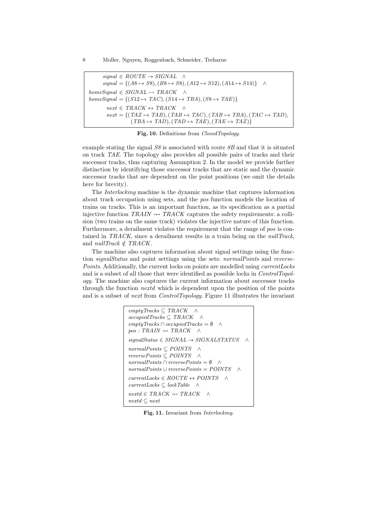$signal \in ROUTE \rightarrow SIGNAL \quad \land$  $signal = \{(A8 \rightarrow S8), (B8 \rightarrow S8), (A12 \rightarrow S12), (A14 \rightarrow S14)\}$  ^  $homeSignal \in SIGNAL \rightarrow TRACK$   $\wedge$  $homeSignal = \{(S12 \rightarrow TAC), (S14 \rightarrow TBA), (S8 \rightarrow TAE)\}$  $next \in TRACK \leftrightarrow TRACK \sim$  $next = \{(TAZ \rightarrow TAB), (TAB \rightarrow TAC), (TAB \rightarrow TBA), (TAC \rightarrow TAD)\}$  $(TBA \rightarrow TAD)$ ,  $(TAD \rightarrow TAE)$ ,  $(TAE \rightarrow TAZ)$ }

Fig. 10. Definitions from *ClosedTopology*.

example stating the signal *S8* is associated with route *8B* and that it is situated on track *TAE*. The topology also provides all possible pairs of tracks and their successor tracks, thus capturing Assumption 2. In the model we provide further distinction by identifying those successor tracks that are static and the dynamic successor tracks that are dependent on the point positions (we omit the details here for brevity).

The *Interlocking* machine is the dynamic machine that captures information about track occupation using sets, and the *pos* function models the location of trains on tracks. This is an important function, as its specification as a partial injective function  $TRAIN \rightarrow TRACK$  captures the safety requirements: a collision (two trains on the same track) violates the injective nature of this function. Furthermore, a derailment violates the requirement that the range of *pos* is contained in *TRACK*, since a derailment results in a train being on the *nullTrack*, and  $nullTrack \notin TRACK$ .

The machine also captures information about signal settings using the function *signalStatus* and point settings using the sets: *normalPoints* and *reverse-Points*. Additionally, the current locks on points are modelled using *currentLocks* and is a subset of all those that were identified as possible locks in *ControlTopology*. The machine also captures the current information about successor tracks through the function *nextd* which is dependent upon the position of the points and is a subset of *next* from *ControlTopology*. Figure 11 illustrates the invariant

$$
emptyTracks \subseteq TRACK \quad \land
$$
  
occupiedTracks \subseteq TRACK \quad \land  
emptyTracks \cap occupiedTracks = \emptyset \quad \land  

$$
pos : TRAIN \nleftrightarrow TRACK \quad \land
$$
  
signalStatus \in SIGNAL \rightarrow SIGNALSTATUS \quad \land  
normalPoints \subseteq POINTS \quad \land  
reversePoints \subseteq POINTS \quad \land  
normalPoints \cap reversePoints = \emptyset \quad \land  
normalPoints \cup reversePoints = POINTS \quad \land  
currentLocks \in ROITE \leftrightarrow POINTS \quad \land  
currentLocks \subseteq lockTable \quad \land  
nextd \in TRACK \nleftrightarrow TRACK \quad \land  
nextd \subseteq next

Fig. 11. Invariant from *Interlocking*.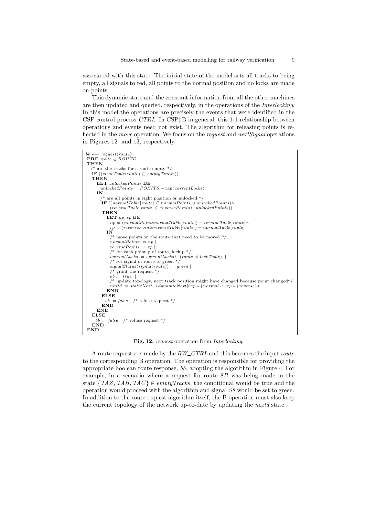associated with this state. The initial state of the model sets all tracks to being empty, all signals to red, all points to the normal position and no locks are made on points.

This dynamic state and the constant information from all the other machines are then updated and queried, respectively, in the operations of the *Interlocking*. In this model the operations are precisely the events that were identified in the CSP control process *CTRL*. In CSP*||*B in general, this 1-1 relationship between operations and events need not exist. The algorithm for releasing points is reflected in the *move* operation. We focus on the *request* and *nextSignal* operations in Figures 12 and 13, respectively.

```
bb \leftarrow request(root) =PRE route \in ROUTE
THEN
     are the tracks for a route empty *\mathbf{F}((clearTable(root) \subseteq emptyTracks))THEN
     LET unlockedPoints BE
       unlockedPoints = POINTS - ran(currentLocks)IN
          are all points in right position or unlocked */\textbf{IF }((normalTable[route] \subseteq normalPoints \cup unlockedPoints) \wedge \ (reverseTable[route] \subseteq reversePoints \cup unlockedPoints))THEN
          LET np, rp BE
           n_p = (normalPoints normalTable[route]) - reverseTable[route] \wedge\hat{r} = (reversePoints reverseTable[route]) - normalTable[route]IN
            /* move points on the route that need to be moved */normalPoints := np \mid \midreversePoints := rp ||
            /* for each point p of route, lock p */currentLocks := currentLocks \cup (route \leq lockTable) ||/* set signal of route to green */signalStatus(signal(route)) := green ||
              grant the request *\phib \phi := true ||
            /* update topology, next track position might have changed because point changed*/
            nextd := staticNext \cup dynamicNext[(np * {normal} \cup rr * {reverse})]END
        ELSE
         bb := false /* refuse request */
       END
     END
   ELSE
    bb := false /* refuse request */
   END
END
```
Fig. 12. *request* operation from *Interlocking*.

A route request *r* is made by the *RW CTRL* and this becomes the input *route* to the corresponding B operation. The operation is responsible for providing the appropriate boolean route response, *bb*, adopting the algorithm in Figure 4. For example, in a scenario where a request for route 8*B* was being made in the state  $\{TAZ, TAB, TAC\} \in emptyTracks$ , the conditional would be true and the operation would proceed with the algorithm and signal *S*8 would be set to green. In addition to the route request algorithm itself, the B operation must also keep the current topology of the network up-to-date by updating the *nextd* state.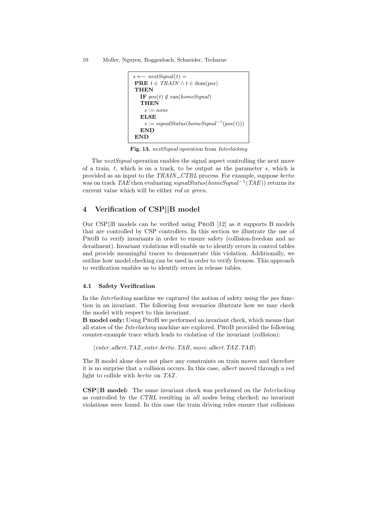10 Moller, Nguyen, Roggenbach, Schneider, Treharne

```
s \longleftarrow nextSignal(t) =PRE t \in \text{TRAIN} \land t \in \text{dom}(pos)THEN
   IF pos(t) \notin \text{ran}(homeSignal)THEN
    s := none
   ELSE
    s := signalStatus(homeSignal^{-1}(pos(t)))END
END
```
Fig. 13. *nextSignal* operation from *Interlocking*

The *nextSignal* operation enables the signal aspect controlling the next move of a train, *t*, which is on a track, to be output as the parameter *s*, which is provided as an input to the *TRAIN CTRL* process. For example, suppose *bertie* was on track *TAE* then evaluating *signalStatus*(*homeSignal*<sup>-1</sup>(*TAE*)) returns its current value which will be either *red* or *green*.

## 4 Verification of CSP*||*B model

Our CSP*||*B models can be verified using ProB [12] as it supports B models that are controlled by CSP controllers. In this section we illustrate the use of ProB to verify invariants in order to ensure safety (collision-freedom and no derailment). Invariant violations will enable us to identify errors in control tables and provide meaningful traces to demonstrate this violation. Additionally, we outline how model checking can be used in order to verify liveness. This approach to verification enables us to identify errors in release tables.

## 4.1 Safety Verification

In the *Interlocking* machine we captured the notion of safety using the *pos* function in an invariant. The following four scenarios illustrate how we may check the model with respect to this invariant.

B model only: Using ProB we performed an invariant check, which means that all states of the *Interlocking* machine are explored. ProB provided the following counter-example trace which leads to violation of the invariant (collision):

h*enter .albert.TAZ, enter .bertie.TAB, move.albert.TAZ.TAB*i

The B model alone does not place any constraints on train moves and therefore it is no surprise that a collision occurs. In this case, *albert* moved through a red light to collide with *bertie* on *TAZ*.

CSP*||*B model: The same invariant check was performed on the *Interlocking* as controlled by the *CTRL* resulting in *all* nodes being checked; no invariant violations were found. In this case the train driving rules ensure that collisions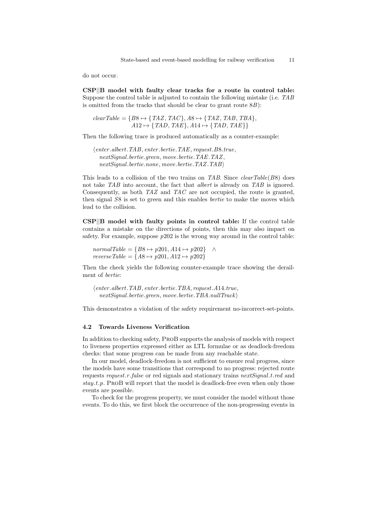do not occur.

CSP*||*B model with faulty clear tracks for a route in control table: Suppose the control table is adjusted to contain the following mistake (i.e. *TAB* is omitted from the tracks that should be clear to grant route 8*B*):

$$
clearTable = \{B8 \mapsto \{TAZ, TAC\}, A8 \mapsto \{TAZ, TAB, TBA\}, A12 \mapsto \{TAD, TAE\}, A14 \mapsto \{TAD, TAE\}\}\
$$

Then the following trace is produced automatically as a counter-example:

h*enter .albert.TAB, enter .bertie.TAE, request.B*8*.true, nextSignal.bertie.green, move.bertie.TAE.TAZ, nextSignal.bertie.none, move.bertie.TAZ.TAB*i

This leads to a collision of the two trains on *TAB*. Since *clearTable*(*B*8) does not take *TAB* into account, the fact that *albert* is already on *TAB* is ignored. Consequently, as both *TAZ* and *TAC* are not occupied, the route is granted, then signal *S*8 is set to green and this enables *bertie* to make the moves which lead to the collision.

CSP*||*B model with faulty points in control table: If the control table contains a mistake on the directions of points, then this may also impact on safety. For example, suppose *p*202 is the wrong way around in the control table:

 $normalTable = \{B8 \mapsto p201, A14 \mapsto p202\}$  ^ *reverseTable* =  ${AB \mapsto p201, A12 \mapsto p202}$ 

Then the check yields the following counter-example trace showing the derailment of *bertie*:

h*enter .albert.TAB, enter .bertie.TBA, request.A*14*.true, nextSignal.bertie.green, move.bertie.TBA.nullTrack*i

This demonstrates a violation of the safety requirement no-incorrect-set-points.

### 4.2 Towards Liveness Verification

In addition to checking safety, ProB supports the analysis of models with respect to liveness properties expressed either as LTL formulae or as deadlock-freedom checks: that some progress can be made from any reachable state.

In our model, deadlock-freedom is not sufficient to ensure real progress, since the models have some transitions that correspond to no progress: rejected route requests *request.r .false* or red signals and stationary trains *nextSignal.t.red* and *stay.t.p*. ProB will report that the model is deadlock-free even when only those events are possible.

To check for the progress property, we must consider the model without those events. To do this, we first block the occurrence of the non-progressing events in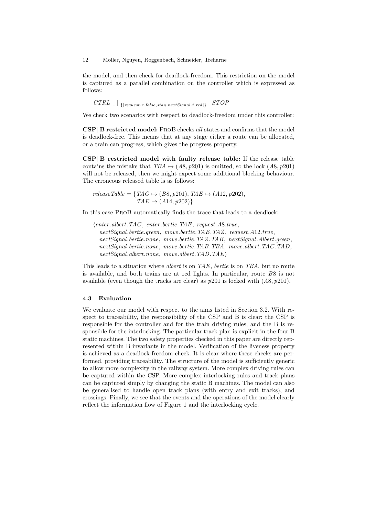the model, and then check for deadlock-freedom. This restriction on the model is captured as a parallel combination on the controller which is expressed as follows:

 $CTRL$   $\ldots$   $\vert$  { $\vert$ *request.r.false.stay.nextSignal.t.red*}  $STOP$ 

We check two scenarios with respect to deadlock-freedom under this controller:

CSP*||*B restricted model: ProB checks *all* states and confirms that the model is deadlock-free. This means that at any stage either a route can be allocated, or a train can progress, which gives the progress property.

CSP*||*B restricted model with faulty release table: If the release table contains the mistake that  $TBA \mapsto (A8, p201)$  is omitted, so the lock  $(A8, p201)$ will not be released, then we might expect some additional blocking behaviour. The erroneous released table is as follows:

$$
releaseTable = \{ TAC \rightarrow (B8, p201), TAE \rightarrow (A12, p202),TAE \rightarrow (A14, p202) \}
$$

In this case ProB automatically finds the trace that leads to a deadlock:

h*enter .albert.TAC , enter .bertie.TAE, request.A*8*.true, nextSignal.bertie.green, move.bertie.TAE.TAZ, request.A*12*.true, nextSignal.bertie.none, move.bertie.TAZ.TAB, nextSignal.Albert.green, nextSignal.bertie.none, move.bertie.TAB.TBA, move.albert.TAC .TAD, nextSignal.albert.none, move.albert.TAD.TAE*i

This leads to a situation where *albert* is on *TAE*, *bertie* is on *TBA*, but no route is available, and both trains are at red lights. In particular, route *B*8 is not available (even though the tracks are clear) as *p*201 is locked with (*A*8*, p*201).

## 4.3 Evaluation

We evaluate our model with respect to the aims listed in Section 3.2. With respect to traceability, the responsibility of the CSP and B is clear: the CSP is responsible for the controller and for the train driving rules, and the B is responsible for the interlocking. The particular track plan is explicit in the four B static machines. The two safety properties checked in this paper are directly represented within B invariants in the model. Verification of the liveness property is achieved as a deadlock-freedom check. It is clear where these checks are performed, providing traceability. The structure of the model is sufficiently generic to allow more complexity in the railway system. More complex driving rules can be captured within the CSP. More complex interlocking rules and track plans can be captured simply by changing the static B machines. The model can also be generalised to handle open track plans (with entry and exit tracks), and crossings. Finally, we see that the events and the operations of the model clearly reflect the information flow of Figure 1 and the interlocking cycle.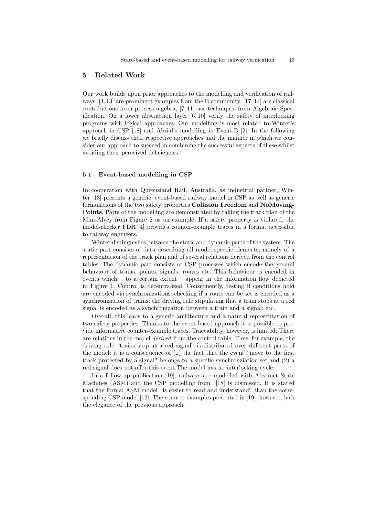### 5 Related Work

Our work builds upon prior approaches to the modelling and verification of railways. [3, 13] are prominent examples from the B community, [17, 14] are classical contributions from process algebra, [7, 11] use techniques from Algebraic Specification. On a lower abstraction layer [6, 10] verify the safety of interlocking programs with logical approaches. Our modelling is most related to Winter's approach in CSP [18] and Abrial's modelling in Event-B [2]. In the following we briefly discuss their respective approaches and the manner in which we consider our approach to succeed in combining the successful aspects of these whilst avoiding their perceived deficiencies.

### 5.1 Event-based modelling in CSP

In cooperation with Queensland Rail, Australia, as industrial partner, Winter [18] presents a generic, event-based railway model in CSP as well as generic formulations of the two safety properties Collision Freedom and NoMoving-Points. Parts of the modelling are demonstrated by taking the track plan of the Mini-Alvey from Figure 2 as an example. If a safety property is violated, the model-checker FDR [4] provides counter-example traces in a format accessible to railway engineers.

Winter distinguishes between the static and dynamic parts of the system. The static part consists of data describing all model-specific elements, namely of a representation of the track plan and of several relations derived from the control tables. The dynamic part consists of CSP processes which encode the general behaviour of trains, points, signals, routes etc. This behaviour is encoded in events which – to a certain extent – appear in the information flow depicted in Figure 1. Control is decentralized. Consequently, testing if conditions hold are encoded via synchronizations: checking if a route can be set is encoded as a synchronization of trains; the driving rule stipulating that a train stops at a red signal is encoded as a synchronization between a train and a signal; etc.

Overall, this leads to a generic architecture and a natural representation of two safety properties. Thanks to the event-based approach it is possible to provide informative counter-example traces. Traceability, however, is limited. There are relations in the model *derived* from the control table. Thus, for example, the driving rule "trains stop at a red signal" is distributed over different parts of the model: it is a consequence of (1) the fact that the event "move to the first track protected by a signal" belongs to a specific synchronziation set and (2) a red signal does not offer this event. The model has no interlocking cycle.

In a follow-up publication [19], railways are modelled with Abstract State Machines (ASM) and the CSP modelling from [18] is dismissed. It is stated that the formal ASM model "is easier to read and understand" than the corresponding CSP model [19]. The counter-examples presented in [19], however, lack the elegance of the previous approach.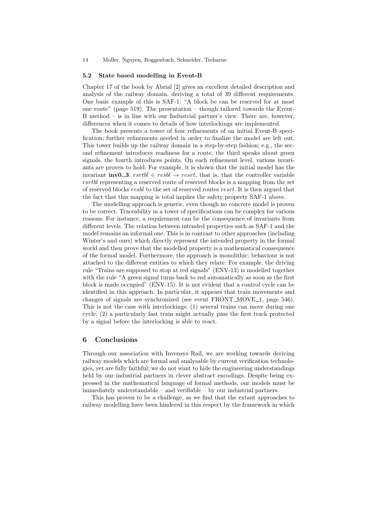#### 5.2 State based modelling in Event-B

Chapter 17 of the book by Abrial [2] gives an excellent detailed description and analysis of the railway domain, deriving a total of 39 different requirements. One basic example of this is SAF-1: "A block be can be reserved for at most one route" (page 519). The presentation – though tailored towards the Event-B method – is in line with our Industrial partner's view. There are, however, differences when it comes to details of how interlockings are implemented.

The book presents a tower of four refinements of an initial Event-B specification; further refinements needed in order to finalize the model are left out. This tower builds up the railway domain in a step-by-step fashion; e.g., the second refinement introduces readiness for a route, the third speaks about green signals, the fourth introduces points. On each refinement level, various invariants are proven to hold. For example, it is shown that the initial model has the invariant  $\mathbf{inv0}\_3$ :  $rsrbl \in resbl \rightarrow resrt$ , that is, that the controller variable *rsrtbl* representing a reserved route of reserved blocks is a mapping from the set of reserved blocks *resbl* to the set of reserved routes *resrt*. It is then argued that the fact that this mapping is total implies the safety property SAF-1 above.

The modelling approach is generic, even though no concrete model is proven to be correct. Traceability in a tower of specifications can be complex for various reasons. For instance, a requirement can be the consequence of invariants from different levels. The relation between intended properties such as SAF-1 and the model remains an informal one. This is in contrast to other approaches (including Winter's and ours) which directly represent the intended property in the formal world and then prove that the modelled property is a mathematical consequence of the formal model. Furthermore, the approach is monolithic: behaviour is not attached to the different entities to which they relate. For example, the driving rule "Trains are supposed to stop at red signals" (ENV-13) is modelled together with the rule "A green signal turns back to red automatically as soon as the first block is made occupied" (ENV-15). It is not evident that a control cycle can be identified in this approach. In particular, it appears that train movements and changes of signals are synchronized (see event  $FRONT_MOVE_1$ , page 546). This is not the case with interlockings: (1) several trains can move during one cycle; (2) a particularly fast train might actually pass the first track protected by a signal before the interlocking is able to react.

## 6 Conclusions

Through our association with Invensys Rail, we are working towards deriving railway models which are formal and analysable by current verification technologies, yet are fully faithful; we do not want to hide the engineering understandings held by our industrial partners in clever abstract encodings. Despite being expressed in the mathematical language of formal methods, our models must be immediately understandable – and verifiable – by our industrial partners.

This has proven to be a challenge, as we find that the extant approaches to railway modelling have been hindered in this respect by the framework in which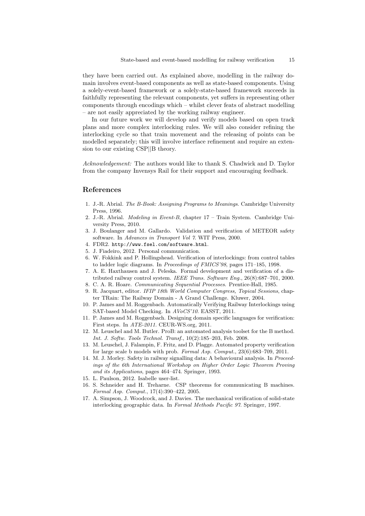they have been carried out. As explained above, modelling in the railway domain involves event-based components as well as state-based components. Using a solely-event-based framework or a solely-state-based framework succeeds in faithfully representing the relevant components, yet suffers in representing other components through encodings which – whilst clever feats of abstract modelling – are not easily appreciated by the working railway engineer.

In our future work we will develop and verify models based on open track plans and more complex interlocking rules. We will also consider refining the interlocking cycle so that train movement and the releasing of points can be modelled separately; this will involve interface refinement and require an extension to our existing CSP*||*B theory.

*Acknowledgement:* The authors would like to thank S. Chadwick and D. Taylor from the company Invensys Rail for their support and encouraging feedback.

## References

- 1. J.-R. Abrial. *The B-Book: Assigning Programs to Meanings*. Cambridge University Press, 1996.
- 2. J.-R. Abrial. *Modeling in Event-B*, chapter 17 Train System. Cambridge University Press, 2010.
- 3. J. Boulanger and M. Gallardo. Validation and verification of METEOR safety software. In *Advances in Transport Vol 7*. WIT Press, 2000.
- 4. FDR2. http://www.fsel.com/software.html.
- 5. J. Fiadeiro, 2012. Personal communication.
- 6. W. Fokkink and P. Hollingshead. Verification of interlockings: from control tables to ladder logic diagrams. In *Proceedings of FMICS'98*, pages 171–185, 1998.
- 7. A. E. Haxthausen and J. Peleska. Formal development and verification of a distributed railway control system. *IEEE Trans. Software Eng.*, 26(8):687–701, 2000.
- 8. C. A. R. Hoare. *Communicating Sequential Processes*. Prentice-Hall, 1985.
- 9. R. Jacquart, editor. *IFIP 18th World Computer Congress, Topical Sessions*, chapter TRain: The Railway Domain - A Grand Challenge. Kluwer, 2004.
- 10. P. James and M. Roggenbach. Automatically Verifying Railway Interlockings using SAT-based Model Checking. In *AVoCS'10*. EASST, 2011.
- 11. P. James and M. Roggenbach. Designing domain specific languages for verification: First steps. In *ATE-2011*. CEUR-WS.org, 2011.
- 12. M. Leuschel and M. Butler. ProB: an automated analysis toolset for the B method. *Int. J. Softw. Tools Technol. Transf.*, 10(2):185–203, Feb. 2008.
- 13. M. Leuschel, J. Falampin, F. Fritz, and D. Plagge. Automated property verification for large scale b models with prob. *Formal Asp. Comput.*, 23(6):683–709, 2011.
- 14. M. J. Morley. Safety in railway signalling data: A behavioural analysis. In *Proceedings of the 6th International Workshop on Higher Order Logic Theorem Proving and its Applications*, pages 464–474. Springer, 1993.
- 15. L. Paulson, 2012. Isabelle user-list.
- 16. S. Schneider and H. Treharne. CSP theorems for communicating B machines. *Formal Asp. Comput.*, 17(4):390–422, 2005.
- 17. A. Simpson, J. Woodcock, and J. Davies. The mechanical verification of solid-state interlocking geographic data. In *Formal Methods Pacific 97*. Springer, 1997.